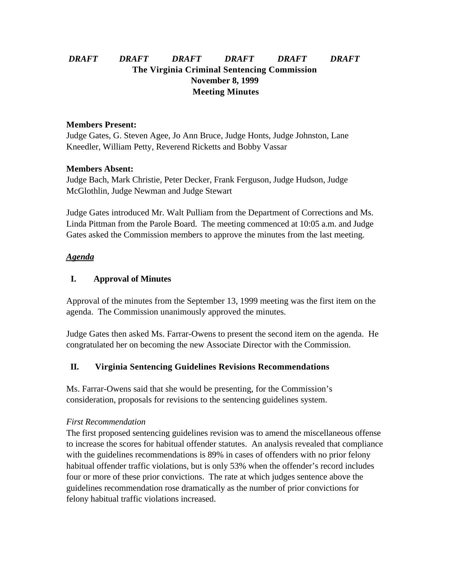# *DRAFT DRAFT DRAFT DRAFT DRAFT DRAFT* **The Virginia Criminal Sentencing Commission November 8, 1999 Meeting Minutes**

### **Members Present:**

Judge Gates, G. Steven Agee, Jo Ann Bruce, Judge Honts, Judge Johnston, Lane Kneedler, William Petty, Reverend Ricketts and Bobby Vassar

### **Members Absent:**

Judge Bach, Mark Christie, Peter Decker, Frank Ferguson, Judge Hudson, Judge McGlothlin, Judge Newman and Judge Stewart

Judge Gates introduced Mr. Walt Pulliam from the Department of Corrections and Ms. Linda Pittman from the Parole Board. The meeting commenced at 10:05 a.m. and Judge Gates asked the Commission members to approve the minutes from the last meeting.

## *Agenda*

## **I. Approval of Minutes**

Approval of the minutes from the September 13, 1999 meeting was the first item on the agenda. The Commission unanimously approved the minutes.

Judge Gates then asked Ms. Farrar-Owens to present the second item on the agenda. He congratulated her on becoming the new Associate Director with the Commission.

## **II. Virginia Sentencing Guidelines Revisions Recommendations**

Ms. Farrar-Owens said that she would be presenting, for the Commission's consideration, proposals for revisions to the sentencing guidelines system.

## *First Recommendation*

The first proposed sentencing guidelines revision was to amend the miscellaneous offense to increase the scores for habitual offender statutes. An analysis revealed that compliance with the guidelines recommendations is 89% in cases of offenders with no prior felony habitual offender traffic violations, but is only 53% when the offender's record includes four or more of these prior convictions. The rate at which judges sentence above the guidelines recommendation rose dramatically as the number of prior convictions for felony habitual traffic violations increased.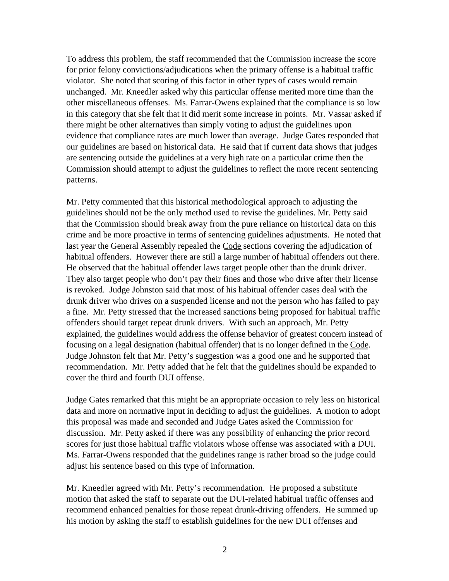To address this problem, the staff recommended that the Commission increase the score for prior felony convictions/adjudications when the primary offense is a habitual traffic violator. She noted that scoring of this factor in other types of cases would remain unchanged. Mr. Kneedler asked why this particular offense merited more time than the other miscellaneous offenses. Ms. Farrar-Owens explained that the compliance is so low in this category that she felt that it did merit some increase in points. Mr. Vassar asked if there might be other alternatives than simply voting to adjust the guidelines upon evidence that compliance rates are much lower than average. Judge Gates responded that our guidelines are based on historical data. He said that if current data shows that judges are sentencing outside the guidelines at a very high rate on a particular crime then the Commission should attempt to adjust the guidelines to reflect the more recent sentencing patterns.

Mr. Petty commented that this historical methodological approach to adjusting the guidelines should not be the only method used to revise the guidelines. Mr. Petty said that the Commission should break away from the pure reliance on historical data on this crime and be more proactive in terms of sentencing guidelines adjustments. He noted that last year the General Assembly repealed the Code sections covering the adjudication of habitual offenders. However there are still a large number of habitual offenders out there. He observed that the habitual offender laws target people other than the drunk driver. They also target people who don't pay their fines and those who drive after their license is revoked. Judge Johnston said that most of his habitual offender cases deal with the drunk driver who drives on a suspended license and not the person who has failed to pay a fine. Mr. Petty stressed that the increased sanctions being proposed for habitual traffic offenders should target repeat drunk drivers. With such an approach, Mr. Petty explained, the guidelines would address the offense behavior of greatest concern instead of focusing on a legal designation (habitual offender) that is no longer defined in the Code. Judge Johnston felt that Mr. Petty's suggestion was a good one and he supported that recommendation. Mr. Petty added that he felt that the guidelines should be expanded to cover the third and fourth DUI offense.

Judge Gates remarked that this might be an appropriate occasion to rely less on historical data and more on normative input in deciding to adjust the guidelines. A motion to adopt this proposal was made and seconded and Judge Gates asked the Commission for discussion. Mr. Petty asked if there was any possibility of enhancing the prior record scores for just those habitual traffic violators whose offense was associated with a DUI. Ms. Farrar-Owens responded that the guidelines range is rather broad so the judge could adjust his sentence based on this type of information.

Mr. Kneedler agreed with Mr. Petty's recommendation. He proposed a substitute motion that asked the staff to separate out the DUI-related habitual traffic offenses and recommend enhanced penalties for those repeat drunk-driving offenders. He summed up his motion by asking the staff to establish guidelines for the new DUI offenses and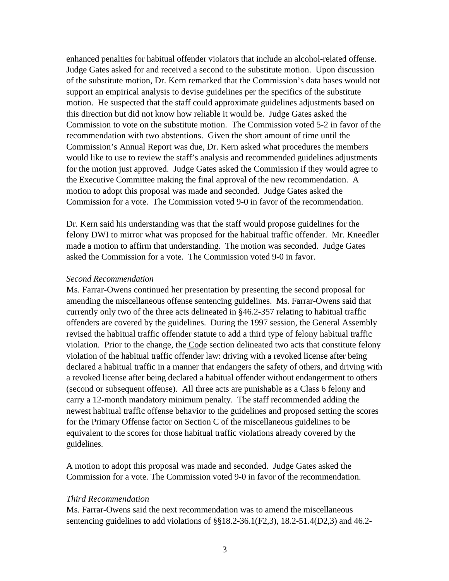enhanced penalties for habitual offender violators that include an alcohol-related offense. Judge Gates asked for and received a second to the substitute motion. Upon discussion of the substitute motion, Dr. Kern remarked that the Commission's data bases would not support an empirical analysis to devise guidelines per the specifics of the substitute motion. He suspected that the staff could approximate guidelines adjustments based on this direction but did not know how reliable it would be. Judge Gates asked the Commission to vote on the substitute motion. The Commission voted 5-2 in favor of the recommendation with two abstentions. Given the short amount of time until the Commission's Annual Report was due, Dr. Kern asked what procedures the members would like to use to review the staff's analysis and recommended guidelines adjustments for the motion just approved. Judge Gates asked the Commission if they would agree to the Executive Committee making the final approval of the new recommendation. A motion to adopt this proposal was made and seconded. Judge Gates asked the Commission for a vote. The Commission voted 9-0 in favor of the recommendation.

Dr. Kern said his understanding was that the staff would propose guidelines for the felony DWI to mirror what was proposed for the habitual traffic offender. Mr. Kneedler made a motion to affirm that understanding. The motion was seconded. Judge Gates asked the Commission for a vote. The Commission voted 9-0 in favor.

#### *Second Recommendation*

Ms. Farrar-Owens continued her presentation by presenting the second proposal for amending the miscellaneous offense sentencing guidelines. Ms. Farrar-Owens said that currently only two of the three acts delineated in §46.2-357 relating to habitual traffic offenders are covered by the guidelines. During the 1997 session, the General Assembly revised the habitual traffic offender statute to add a third type of felony habitual traffic violation. Prior to the change, the Code section delineated two acts that constitute felony violation of the habitual traffic offender law: driving with a revoked license after being declared a habitual traffic in a manner that endangers the safety of others, and driving with a revoked license after being declared a habitual offender without endangerment to others (second or subsequent offense). All three acts are punishable as a Class 6 felony and carry a 12-month mandatory minimum penalty. The staff recommended adding the newest habitual traffic offense behavior to the guidelines and proposed setting the scores for the Primary Offense factor on Section C of the miscellaneous guidelines to be equivalent to the scores for those habitual traffic violations already covered by the guidelines.

A motion to adopt this proposal was made and seconded. Judge Gates asked the Commission for a vote. The Commission voted 9-0 in favor of the recommendation.

#### *Third Recommendation*

Ms. Farrar-Owens said the next recommendation was to amend the miscellaneous sentencing guidelines to add violations of §§18.2-36.1(F2,3), 18.2-51.4(D2,3) and 46.2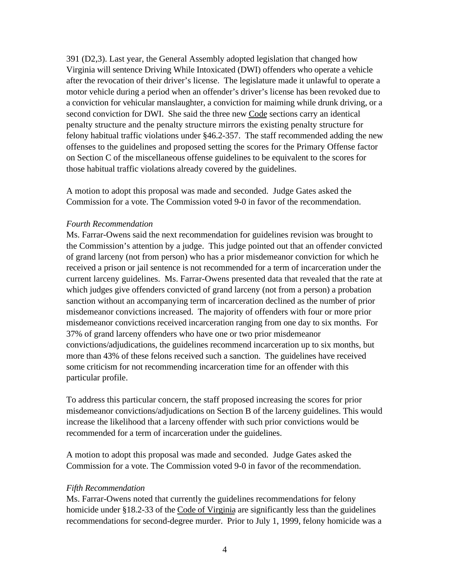391 (D2,3). Last year, the General Assembly adopted legislation that changed how Virginia will sentence Driving While Intoxicated (DWI) offenders who operate a vehicle after the revocation of their driver's license. The legislature made it unlawful to operate a motor vehicle during a period when an offender's driver's license has been revoked due to a conviction for vehicular manslaughter, a conviction for maiming while drunk driving, or a second conviction for DWI. She said the three new Code sections carry an identical penalty structure and the penalty structure mirrors the existing penalty structure for felony habitual traffic violations under §46.2-357. The staff recommended adding the new offenses to the guidelines and proposed setting the scores for the Primary Offense factor on Section C of the miscellaneous offense guidelines to be equivalent to the scores for those habitual traffic violations already covered by the guidelines.

A motion to adopt this proposal was made and seconded. Judge Gates asked the Commission for a vote. The Commission voted 9-0 in favor of the recommendation.

### *Fourth Recommendation*

Ms. Farrar-Owens said the next recommendation for guidelines revision was brought to the Commission's attention by a judge. This judge pointed out that an offender convicted of grand larceny (not from person) who has a prior misdemeanor conviction for which he received a prison or jail sentence is not recommended for a term of incarceration under the current larceny guidelines. Ms. Farrar-Owens presented data that revealed that the rate at which judges give offenders convicted of grand larceny (not from a person) a probation sanction without an accompanying term of incarceration declined as the number of prior misdemeanor convictions increased. The majority of offenders with four or more prior misdemeanor convictions received incarceration ranging from one day to six months. For 37% of grand larceny offenders who have one or two prior misdemeanor convictions/adjudications, the guidelines recommend incarceration up to six months, but more than 43% of these felons received such a sanction. The guidelines have received some criticism for not recommending incarceration time for an offender with this particular profile.

To address this particular concern, the staff proposed increasing the scores for prior misdemeanor convictions/adjudications on Section B of the larceny guidelines. This would increase the likelihood that a larceny offender with such prior convictions would be recommended for a term of incarceration under the guidelines.

A motion to adopt this proposal was made and seconded. Judge Gates asked the Commission for a vote. The Commission voted 9-0 in favor of the recommendation.

### *Fifth Recommendation*

Ms. Farrar-Owens noted that currently the guidelines recommendations for felony homicide under §18.2-33 of the Code of Virginia are significantly less than the guidelines recommendations for second-degree murder. Prior to July 1, 1999, felony homicide was a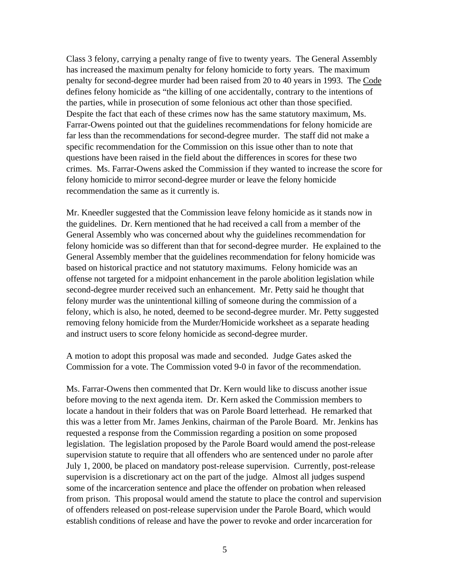Class 3 felony, carrying a penalty range of five to twenty years. The General Assembly has increased the maximum penalty for felony homicide to forty years. The maximum penalty for second-degree murder had been raised from 20 to 40 years in 1993. The Code defines felony homicide as "the killing of one accidentally, contrary to the intentions of the parties, while in prosecution of some felonious act other than those specified. Despite the fact that each of these crimes now has the same statutory maximum, Ms. Farrar-Owens pointed out that the guidelines recommendations for felony homicide are far less than the recommendations for second-degree murder. The staff did not make a specific recommendation for the Commission on this issue other than to note that questions have been raised in the field about the differences in scores for these two crimes. Ms. Farrar-Owens asked the Commission if they wanted to increase the score for felony homicide to mirror second-degree murder or leave the felony homicide recommendation the same as it currently is.

Mr. Kneedler suggested that the Commission leave felony homicide as it stands now in the guidelines. Dr. Kern mentioned that he had received a call from a member of the General Assembly who was concerned about why the guidelines recommendation for felony homicide was so different than that for second-degree murder. He explained to the General Assembly member that the guidelines recommendation for felony homicide was based on historical practice and not statutory maximums. Felony homicide was an offense not targeted for a midpoint enhancement in the parole abolition legislation while second-degree murder received such an enhancement. Mr. Petty said he thought that felony murder was the unintentional killing of someone during the commission of a felony, which is also, he noted, deemed to be second-degree murder. Mr. Petty suggested removing felony homicide from the Murder/Homicide worksheet as a separate heading and instruct users to score felony homicide as second-degree murder.

A motion to adopt this proposal was made and seconded. Judge Gates asked the Commission for a vote. The Commission voted 9-0 in favor of the recommendation.

Ms. Farrar-Owens then commented that Dr. Kern would like to discuss another issue before moving to the next agenda item. Dr. Kern asked the Commission members to locate a handout in their folders that was on Parole Board letterhead. He remarked that this was a letter from Mr. James Jenkins, chairman of the Parole Board. Mr. Jenkins has requested a response from the Commission regarding a position on some proposed legislation. The legislation proposed by the Parole Board would amend the post-release supervision statute to require that all offenders who are sentenced under no parole after July 1, 2000, be placed on mandatory post-release supervision. Currently, post-release supervision is a discretionary act on the part of the judge. Almost all judges suspend some of the incarceration sentence and place the offender on probation when released from prison. This proposal would amend the statute to place the control and supervision of offenders released on post-release supervision under the Parole Board, which would establish conditions of release and have the power to revoke and order incarceration for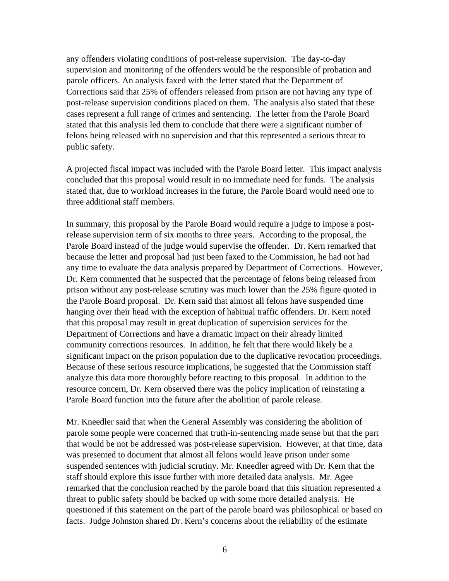any offenders violating conditions of post-release supervision. The day-to-day supervision and monitoring of the offenders would be the responsible of probation and parole officers. An analysis faxed with the letter stated that the Department of Corrections said that 25% of offenders released from prison are not having any type of post-release supervision conditions placed on them. The analysis also stated that these cases represent a full range of crimes and sentencing. The letter from the Parole Board stated that this analysis led them to conclude that there were a significant number of felons being released with no supervision and that this represented a serious threat to public safety.

A projected fiscal impact was included with the Parole Board letter. This impact analysis concluded that this proposal would result in no immediate need for funds. The analysis stated that, due to workload increases in the future, the Parole Board would need one to three additional staff members.

In summary, this proposal by the Parole Board would require a judge to impose a postrelease supervision term of six months to three years. According to the proposal, the Parole Board instead of the judge would supervise the offender. Dr. Kern remarked that because the letter and proposal had just been faxed to the Commission, he had not had any time to evaluate the data analysis prepared by Department of Corrections. However, Dr. Kern commented that he suspected that the percentage of felons being released from prison without any post-release scrutiny was much lower than the 25% figure quoted in the Parole Board proposal. Dr. Kern said that almost all felons have suspended time hanging over their head with the exception of habitual traffic offenders. Dr. Kern noted that this proposal may result in great duplication of supervision services for the Department of Corrections and have a dramatic impact on their already limited community corrections resources. In addition, he felt that there would likely be a significant impact on the prison population due to the duplicative revocation proceedings. Because of these serious resource implications, he suggested that the Commission staff analyze this data more thoroughly before reacting to this proposal. In addition to the resource concern, Dr. Kern observed there was the policy implication of reinstating a Parole Board function into the future after the abolition of parole release.

Mr. Kneedler said that when the General Assembly was considering the abolition of parole some people were concerned that truth-in-sentencing made sense but that the part that would be not be addressed was post-release supervision. However, at that time, data was presented to document that almost all felons would leave prison under some suspended sentences with judicial scrutiny. Mr. Kneedler agreed with Dr. Kern that the staff should explore this issue further with more detailed data analysis. Mr. Agee remarked that the conclusion reached by the parole board that this situation represented a threat to public safety should be backed up with some more detailed analysis. He questioned if this statement on the part of the parole board was philosophical or based on facts. Judge Johnston shared Dr. Kern's concerns about the reliability of the estimate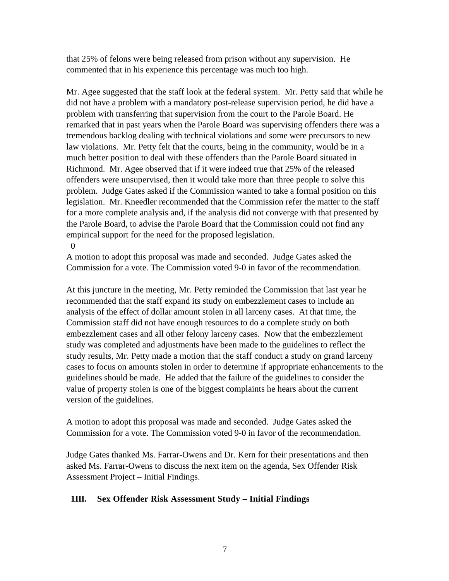that 25% of felons were being released from prison without any supervision. He commented that in his experience this percentage was much too high.

Mr. Agee suggested that the staff look at the federal system. Mr. Petty said that while he did not have a problem with a mandatory post-release supervision period, he did have a problem with transferring that supervision from the court to the Parole Board. He remarked that in past years when the Parole Board was supervising offenders there was a tremendous backlog dealing with technical violations and some were precursors to new law violations. Mr. Petty felt that the courts, being in the community, would be in a much better position to deal with these offenders than the Parole Board situated in Richmond. Mr. Agee observed that if it were indeed true that 25% of the released offenders were unsupervised, then it would take more than three people to solve this problem. Judge Gates asked if the Commission wanted to take a formal position on this legislation. Mr. Kneedler recommended that the Commission refer the matter to the staff for a more complete analysis and, if the analysis did not converge with that presented by the Parole Board, to advise the Parole Board that the Commission could not find any empirical support for the need for the proposed legislation.  $\Omega$ 

A motion to adopt this proposal was made and seconded. Judge Gates asked the Commission for a vote. The Commission voted 9-0 in favor of the recommendation.

At this juncture in the meeting, Mr. Petty reminded the Commission that last year he recommended that the staff expand its study on embezzlement cases to include an analysis of the effect of dollar amount stolen in all larceny cases. At that time, the Commission staff did not have enough resources to do a complete study on both embezzlement cases and all other felony larceny cases. Now that the embezzlement study was completed and adjustments have been made to the guidelines to reflect the study results, Mr. Petty made a motion that the staff conduct a study on grand larceny cases to focus on amounts stolen in order to determine if appropriate enhancements to the guidelines should be made. He added that the failure of the guidelines to consider the value of property stolen is one of the biggest complaints he hears about the current version of the guidelines.

A motion to adopt this proposal was made and seconded. Judge Gates asked the Commission for a vote. The Commission voted 9-0 in favor of the recommendation.

Judge Gates thanked Ms. Farrar-Owens and Dr. Kern for their presentations and then asked Ms. Farrar-Owens to discuss the next item on the agenda, Sex Offender Risk Assessment Project – Initial Findings.

## **1III. Sex Offender Risk Assessment Study – Initial Findings**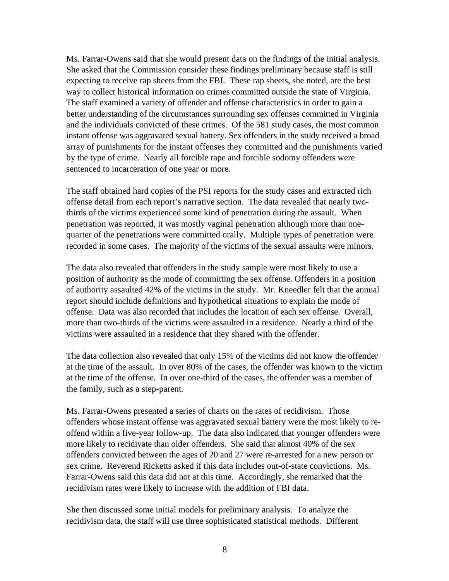Ms. Farrar-Owens said that she would present data on the findings of the initial analysis. She asked that the Commission consider these findings preliminary because staff is still expecting to receive rap sheets from the FBI. These rap sheets, she noted, are the best way to collect historical information on crimes committed outside the state of Virginia. The staff examined a variety of offender and offense characteristics in order to gain a better understanding of the circumstances surrounding sex offenses committed in Virginia and the individuals convicted of these crimes. Of the 581 study cases, the most common instant offense was aggravated sexual battery. Sex offenders in the study received a broad array of punishments for the instant offenses they committed and the punishments varied by the type of crime. Nearly all forcible rape and forcible sodomy offenders were sentenced to incarceration of one year or more.

The staff obtained hard copies of the PSI reports for the study cases and extracted rich offense detail from each report's narrative section. The data revealed that nearly twothirds of the victims experienced some kind of penetration during the assault. When penetration was reported, it was mostly vaginal penetration although more than onequarter of the penetrations were committed orally. Multiple types of penetration were recorded in some cases. The majority of the victims of the sexual assaults were minors.

The data also revealed that offenders in the study sample were most likely to use a position of authority as the mode of committing the sex offense. Offenders in a position of authority assaulted 42% of the victims in the study. Mr. Kneedler felt that the annual report should include definitions and hypothetical situations to explain the mode of offense. Data was also recorded that includes the location of each sex offense. Overall, more than two-thirds of the victims were assaulted in a residence. Nearly a third of the victims were assaulted in a residence that they shared with the offender.

The data collection also revealed that only 15% of the victims did not know the offender at the time of the assault. In over 80% of the cases, the offender was known to the victim at the time of the offense. In over one-third of the cases, the offender was a member of the family, such as a step-parent.

Ms. Farrar-Owens presented a series of charts on the rates of recidivism. Those offenders whose instant offense was aggravated sexual battery were the most likely to reoffend within a five-year follow-up. The data also indicated that younger offenders were more likely to recidivate than older offenders. She said that almost 40% of the sex offenders convicted between the ages of 20 and 27 were re-arrested for a new person or sex crime. Reverend Ricketts asked if this data includes out-of-state convictions. Ms. Farrar-Owens said this data did not at this time. Accordingly, she remarked that the recidivism rates were likely to increase with the addition of FBI data.

She then discussed some initial models for preliminary analysis. To analyze the recidivism data, the staff will use three sophisticated statistical methods. Different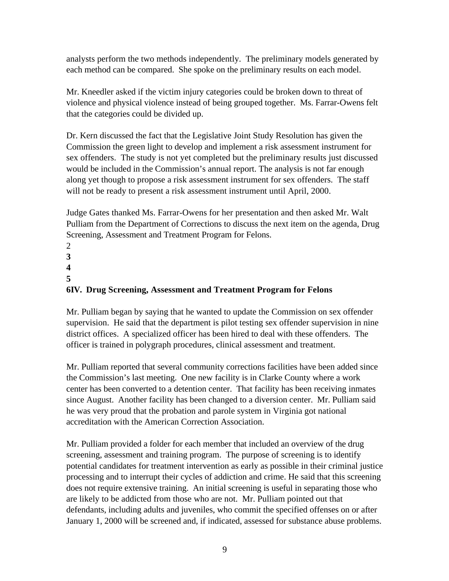analysts perform the two methods independently. The preliminary models generated by each method can be compared. She spoke on the preliminary results on each model.

Mr. Kneedler asked if the victim injury categories could be broken down to threat of violence and physical violence instead of being grouped together. Ms. Farrar-Owens felt that the categories could be divided up.

Dr. Kern discussed the fact that the Legislative Joint Study Resolution has given the Commission the green light to develop and implement a risk assessment instrument for sex offenders. The study is not yet completed but the preliminary results just discussed would be included in the Commission's annual report. The analysis is not far enough along yet though to propose a risk assessment instrument for sex offenders. The staff will not be ready to present a risk assessment instrument until April, 2000.

Judge Gates thanked Ms. Farrar-Owens for her presentation and then asked Mr. Walt Pulliam from the Department of Corrections to discuss the next item on the agenda, Drug Screening, Assessment and Treatment Program for Felons.

## **6IV. Drug Screening, Assessment and Treatment Program for Felons**

Mr. Pulliam began by saying that he wanted to update the Commission on sex offender supervision. He said that the department is pilot testing sex offender supervision in nine district offices. A specialized officer has been hired to deal with these offenders. The officer is trained in polygraph procedures, clinical assessment and treatment.

Mr. Pulliam reported that several community corrections facilities have been added since the Commission's last meeting. One new facility is in Clarke County where a work center has been converted to a detention center. That facility has been receiving inmates since August. Another facility has been changed to a diversion center. Mr. Pulliam said he was very proud that the probation and parole system in Virginia got national accreditation with the American Correction Association.

Mr. Pulliam provided a folder for each member that included an overview of the drug screening, assessment and training program. The purpose of screening is to identify potential candidates for treatment intervention as early as possible in their criminal justice processing and to interrupt their cycles of addiction and crime. He said that this screening does not require extensive training. An initial screening is useful in separating those who are likely to be addicted from those who are not. Mr. Pulliam pointed out that defendants, including adults and juveniles, who commit the specified offenses on or after January 1, 2000 will be screened and, if indicated, assessed for substance abuse problems.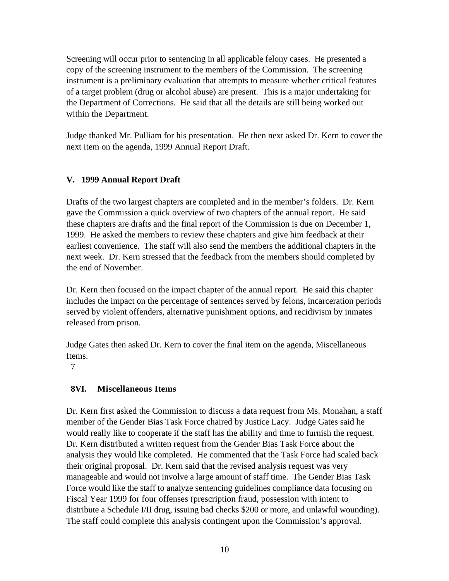Screening will occur prior to sentencing in all applicable felony cases. He presented a copy of the screening instrument to the members of the Commission. The screening instrument is a preliminary evaluation that attempts to measure whether critical features of a target problem (drug or alcohol abuse) are present. This is a major undertaking for the Department of Corrections. He said that all the details are still being worked out within the Department.

Judge thanked Mr. Pulliam for his presentation. He then next asked Dr. Kern to cover the next item on the agenda, 1999 Annual Report Draft.

# **V. 1999 Annual Report Draft**

Drafts of the two largest chapters are completed and in the member's folders. Dr. Kern gave the Commission a quick overview of two chapters of the annual report. He said these chapters are drafts and the final report of the Commission is due on December 1, 1999. He asked the members to review these chapters and give him feedback at their earliest convenience. The staff will also send the members the additional chapters in the next week. Dr. Kern stressed that the feedback from the members should completed by the end of November.

Dr. Kern then focused on the impact chapter of the annual report. He said this chapter includes the impact on the percentage of sentences served by felons, incarceration periods served by violent offenders, alternative punishment options, and recidivism by inmates released from prison.

Judge Gates then asked Dr. Kern to cover the final item on the agenda, Miscellaneous Items.

7

# **8VI. Miscellaneous Items**

Dr. Kern first asked the Commission to discuss a data request from Ms. Monahan, a staff member of the Gender Bias Task Force chaired by Justice Lacy. Judge Gates said he would really like to cooperate if the staff has the ability and time to furnish the request. Dr. Kern distributed a written request from the Gender Bias Task Force about the analysis they would like completed. He commented that the Task Force had scaled back their original proposal. Dr. Kern said that the revised analysis request was very manageable and would not involve a large amount of staff time. The Gender Bias Task Force would like the staff to analyze sentencing guidelines compliance data focusing on Fiscal Year 1999 for four offenses (prescription fraud, possession with intent to distribute a Schedule I/II drug, issuing bad checks \$200 or more, and unlawful wounding). The staff could complete this analysis contingent upon the Commission's approval.